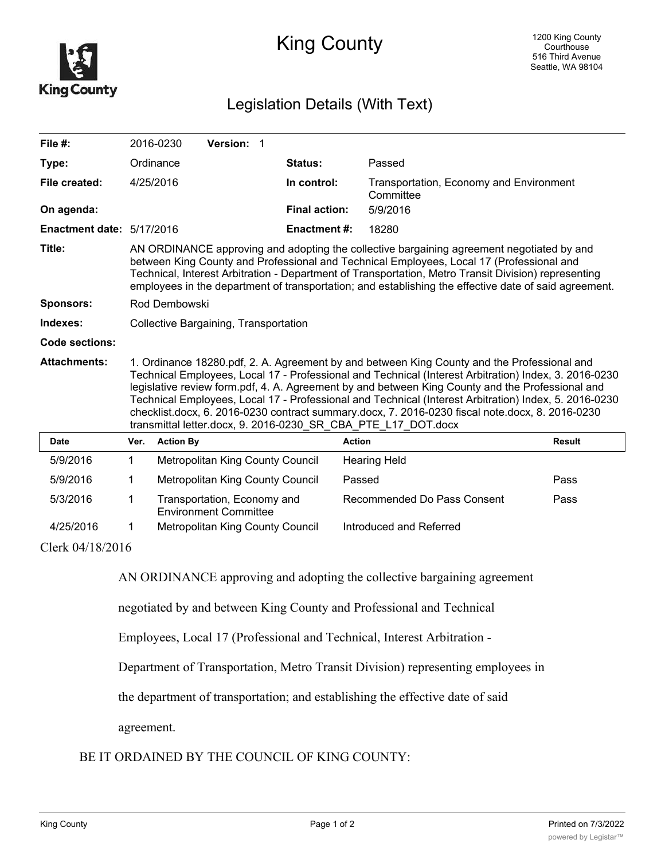

## King County

## Legislation Details (With Text)

| File $#$ :                       |                                                                                                                                                                                                                                                                                                                                                                                                                                                                                                                                                                                       | 2016-0230        | Version: 1                                                  |  |                      |                                                      |               |
|----------------------------------|---------------------------------------------------------------------------------------------------------------------------------------------------------------------------------------------------------------------------------------------------------------------------------------------------------------------------------------------------------------------------------------------------------------------------------------------------------------------------------------------------------------------------------------------------------------------------------------|------------------|-------------------------------------------------------------|--|----------------------|------------------------------------------------------|---------------|
| Type:                            |                                                                                                                                                                                                                                                                                                                                                                                                                                                                                                                                                                                       | Ordinance        |                                                             |  | Status:              | Passed                                               |               |
| File created:                    |                                                                                                                                                                                                                                                                                                                                                                                                                                                                                                                                                                                       | 4/25/2016        |                                                             |  | In control:          | Transportation, Economy and Environment<br>Committee |               |
| On agenda:                       |                                                                                                                                                                                                                                                                                                                                                                                                                                                                                                                                                                                       |                  |                                                             |  | <b>Final action:</b> | 5/9/2016                                             |               |
| <b>Enactment date: 5/17/2016</b> |                                                                                                                                                                                                                                                                                                                                                                                                                                                                                                                                                                                       |                  |                                                             |  | <b>Enactment#:</b>   | 18280                                                |               |
| Title:                           | AN ORDINANCE approving and adopting the collective bargaining agreement negotiated by and<br>between King County and Professional and Technical Employees, Local 17 (Professional and<br>Technical, Interest Arbitration - Department of Transportation, Metro Transit Division) representing<br>employees in the department of transportation; and establishing the effective date of said agreement.                                                                                                                                                                                |                  |                                                             |  |                      |                                                      |               |
| <b>Sponsors:</b>                 | Rod Dembowski                                                                                                                                                                                                                                                                                                                                                                                                                                                                                                                                                                         |                  |                                                             |  |                      |                                                      |               |
| Indexes:                         | Collective Bargaining, Transportation                                                                                                                                                                                                                                                                                                                                                                                                                                                                                                                                                 |                  |                                                             |  |                      |                                                      |               |
| Code sections:                   |                                                                                                                                                                                                                                                                                                                                                                                                                                                                                                                                                                                       |                  |                                                             |  |                      |                                                      |               |
| <b>Attachments:</b>              | 1. Ordinance 18280.pdf, 2. A. Agreement by and between King County and the Professional and<br>Technical Employees, Local 17 - Professional and Technical (Interest Arbitration) Index, 3. 2016-0230<br>legislative review form.pdf, 4. A. Agreement by and between King County and the Professional and<br>Technical Employees, Local 17 - Professional and Technical (Interest Arbitration) Index, 5. 2016-0230<br>checklist.docx, 6. 2016-0230 contract summary.docx, 7. 2016-0230 fiscal note.docx, 8. 2016-0230<br>transmittal letter.docx, 9. 2016-0230 SR CBA PTE L17 DOT.docx |                  |                                                             |  |                      |                                                      |               |
| Date                             | Ver.                                                                                                                                                                                                                                                                                                                                                                                                                                                                                                                                                                                  | <b>Action By</b> |                                                             |  |                      | <b>Action</b>                                        | <b>Result</b> |
| 5/9/2016                         | 1                                                                                                                                                                                                                                                                                                                                                                                                                                                                                                                                                                                     |                  | Metropolitan King County Council                            |  |                      | <b>Hearing Held</b>                                  |               |
| 5/9/2016                         | 1                                                                                                                                                                                                                                                                                                                                                                                                                                                                                                                                                                                     |                  | Metropolitan King County Council                            |  |                      | Passed                                               | Pass          |
| 5/3/2016                         | 1                                                                                                                                                                                                                                                                                                                                                                                                                                                                                                                                                                                     |                  | Transportation, Economy and<br><b>Environment Committee</b> |  |                      | Recommended Do Pass Consent                          | Pass          |
| 4/25/2016                        | 1                                                                                                                                                                                                                                                                                                                                                                                                                                                                                                                                                                                     |                  | Metropolitan King County Council                            |  |                      | Introduced and Referred                              |               |

Clerk 04/18/2016

AN ORDINANCE approving and adopting the collective bargaining agreement

negotiated by and between King County and Professional and Technical

Employees, Local 17 (Professional and Technical, Interest Arbitration -

Department of Transportation, Metro Transit Division) representing employees in

the department of transportation; and establishing the effective date of said

agreement.

## BE IT ORDAINED BY THE COUNCIL OF KING COUNTY: